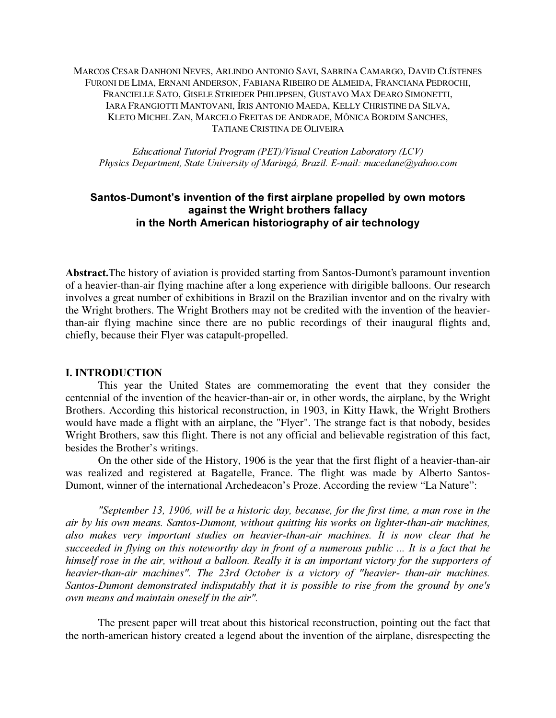MARCOS CESAR DANHONI NEVES, ARLINDO ANTONIO SAVI, SABRINA CAMARGO, DAVID CLÍSTENES FURONI DE LIMA, ERNANI ANDERSON, FABIANA RIBEIRO DE ALMEIDA, FRANCIANA PEDROCHI, FRANCIELLE SATO, GISELE STRIEDER PHILIPPSEN, GUSTAVO MAX DEARO SIMONETTI, IARA FRANGIOTTI MANTOVANI, ÍRIS ANTONIO MAEDA, KELLY CHRISTINE DA SILVA, KLETO MICHEL ZAN, MARCELO FREITAS DE ANDRADE, MÔNICA BORDIM SANCHES, TATIANE CRISTINA DE OLIVEIRA

 $Educational$  Tutorial Program (PET)/Visual Creation Laboratory (LCV) Physics Department, State University of Maringá, Brazil. E-mail: macedane@yahoo.com

# Santos-Dumont's invention of the first airplane propelled by own motors against the Wright brothers fallacy in the North American historiography of air technology

Abstract. The history of aviation is provided starting from Santos-Dumont's paramount invention of a heavier-than-air flying machine after a long experience with dirigible balloons. Our research involves a great number of exhibitions in Brazil on the Brazilian inventor and on the rivalry with the Wright brothers. The Wright Brothers may not be credited with the invention of the heavierthan-air flying machine since there are no public recordings of their inaugural flights and, chiefly, because their Flyer was catapult-propelled.

#### **I. INTRODUCTION**

This year the United States are commemorating the event that they consider the centennial of the invention of the heavier-than-air or, in other words, the airplane, by the Wright Brothers. According this historical reconstruction, in 1903, in Kitty Hawk, the Wright Brothers would have made a flight with an airplane, the "Flyer". The strange fact is that nobody, besides Wright Brothers, saw this flight. There is not any official and believable registration of this fact, besides the Brother's writings.

On the other side of the History, 1906 is the year that the first flight of a heavier-than-air was realized and registered at Bagatelle, France. The flight was made by Alberto Santos-Dumont, winner of the international Archedeacon's Proze. According the review "La Nature":

"September 13, 1906, will be a historic day, because, for the first time, a man rose in the air by his own means. Santos-Dumont, without quitting his works on lighter-than-air machines, also makes very important studies on heavier-than-air machines. It is now clear that he succeeded in flying on this noteworthy day in front of a numerous public  $\ldots$  It is a fact that he himself rose in the air, without a balloon. Really it is an important victory for the supporters of heavier-than-air machines". The 23rd October is a victory of "heavier- than-air machines. Santos-Dumont demonstrated indisputably that it is possible to rise from the ground by one's own means and maintain oneself in the air".

The present paper will treat about this historical reconstruction, pointing out the fact that the north-american history created a legend about the invention of the airplane, disrespecting the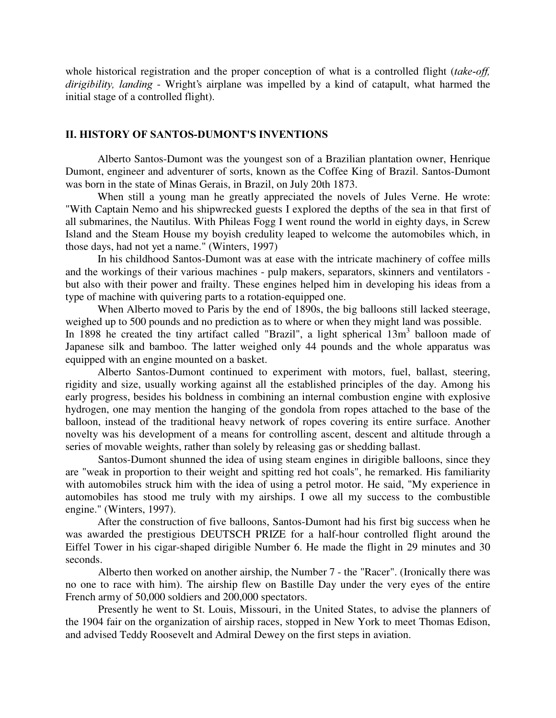whole historical registration and the proper conception of what is a controlled flight ( $take-off$ ).  $dirigibility$ , landing - Wright's airplane was impelled by a kind of catapult, what harmed the initial stage of a controlled flight).

#### II. HISTORY OF SANTOS-DUMONT'S INVENTIONS

Alberto Santos-Dumont was the youngest son of a Brazilian plantation owner, Henrique Dumont, engineer and adventurer of sorts, known as the Coffee King of Brazil. Santos-Dumont was born in the state of Minas Gerais, in Brazil, on July 20th 1873.

When still a young man he greatly appreciated the novels of Jules Verne. He wrote: "With Captain Nemo and his shipwrecked guests I explored the depths of the sea in that first of all submarines, the Nautilus. With Phileas Fogg I went round the world in eighty days, in Screw Island and the Steam House my boyish credulity leaped to welcome the automobiles which, in those days, had not yet a name." (Winters, 1997)

In his childhood Santos-Dumont was at ease with the intricate machinery of coffee mills and the workings of their various machines - pulp makers, separators, skinners and ventilators but also with their power and frailty. These engines helped him in developing his ideas from a type of machine with quivering parts to a rotation-equipped one.

When Alberto moved to Paris by the end of 1890s, the big balloons still lacked steerage, weighed up to 500 pounds and no prediction as to where or when they might land was possible.

In 1898 he created the tiny artifact called "Brazil", a light spherical 13m<sup>3</sup> balloon made of Japanese silk and bamboo. The latter weighed only 44 pounds and the whole apparatus was equipped with an engine mounted on a basket.

Alberto Santos-Dumont continued to experiment with motors, fuel, ballast, steering, rigidity and size, usually working against all the established principles of the day. Among his early progress, besides his boldness in combining an internal combustion engine with explosive hydrogen, one may mention the hanging of the gondola from ropes attached to the base of the balloon, instead of the traditional heavy network of ropes covering its entire surface. Another novelty was his development of a means for controlling ascent, descent and altitude through a series of movable weights, rather than solely by releasing gas or shedding ballast.

Santos-Dumont shunned the idea of using steam engines in dirigible balloons, since they are "weak in proportion to their weight and spitting red hot coals", he remarked. His familiarity with automobiles struck him with the idea of using a petrol motor. He said, "My experience in automobiles has stood me truly with my airships. I owe all my success to the combustible engine." (Winters, 1997).

After the construction of five balloons, Santos-Dumont had his first big success when he was awarded the prestigious DEUTSCH PRIZE for a half-hour controlled flight around the Eiffel Tower in his cigar-shaped dirigible Number 6. He made the flight in 29 minutes and 30 seconds.

Alberto then worked on another airship, the Number 7 - the "Racer". (Ironically there was no one to race with him). The airship flew on Bastille Day under the very eyes of the entire French army of 50,000 soldiers and 200,000 spectators.

Presently he went to St. Louis, Missouri, in the United States, to advise the planners of the 1904 fair on the organization of airship races, stopped in New York to meet Thomas Edison, and advised Teddy Roosevelt and Admiral Dewey on the first steps in aviation.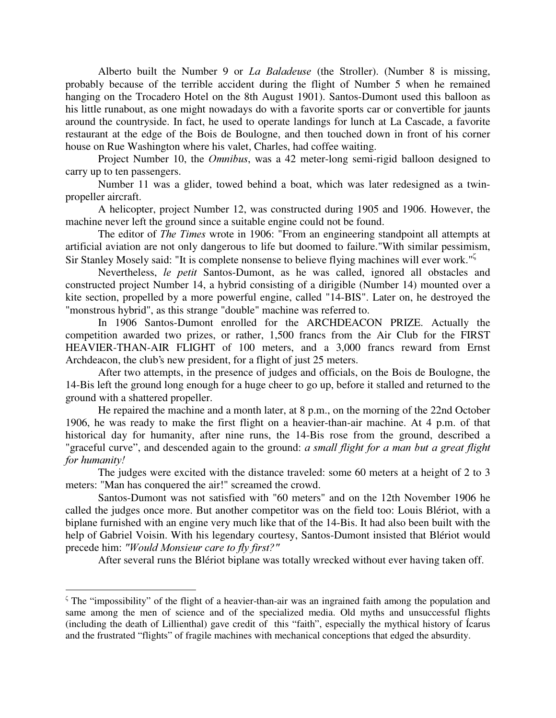Alberto built the Number 9 or *La Baladeuse* (the Stroller). (Number 8 is missing, probably because of the terrible accident during the flight of Number 5 when he remained hanging on the Trocadero Hotel on the 8th August 1901). Santos-Dumont used this balloon as his little runabout, as one might nowadays do with a favorite sports car or convertible for jaunts around the countryside. In fact, he used to operate landings for lunch at La Cascade, a favorite restaurant at the edge of the Bois de Boulogne, and then touched down in front of his corner house on Rue Washington where his valet, Charles, had coffee waiting.

Project Number 10, the *Omnibus*, was a 42 meter-long semi-rigid balloon designed to carry up to ten passengers.

Number 11 was a glider, towed behind a boat, which was later redesigned as a twinpropeller aircraft.

A helicopter, project Number 12, was constructed during 1905 and 1906. However, the machine never left the ground since a suitable engine could not be found.

The editor of *The Times* wrote in 1906: "From an engineering standpoint all attempts at artificial aviation are not only dangerous to life but doomed to failure."With similar pessimism, Sir Stanley Mosely said: "It is complete nonsense to believe flying machines will ever work." $\frac{5}{2}$ 

Nevertheless, le petit Santos-Dumont, as he was called, ignored all obstacles and constructed project Number 14, a hybrid consisting of a dirigible (Number 14) mounted over a kite section, propelled by a more powerful engine, called "14-BIS". Later on, he destroyed the "monstrous hybrid", as this strange "double" machine was referred to.

In 1906 Santos-Dumont enrolled for the ARCHDEACON PRIZE. Actually the competition awarded two prizes, or rather, 1,500 francs from the Air Club for the FIRST HEAVIER-THAN-AIR FLIGHT of 100 meters, and a 3,000 francs reward from Ernst Archdeacon, the club's new president, for a flight of just 25 meters.

After two attempts, in the presence of judges and officials, on the Bois de Boulogne, the 14-Bis left the ground long enough for a huge cheer to go up, before it stalled and returned to the ground with a shattered propeller.

He repaired the machine and a month later, at 8 p.m., on the morning of the 22nd October 1906, he was ready to make the first flight on a heavier-than-air machine. At 4 p.m. of that historical day for humanity, after nine runs, the 14-Bis rose from the ground, described a "graceful curve", and descended again to the ground:  $a$  small flight for  $a$  man but  $a$  great flight for humanity!

The judges were excited with the distance traveled: some 60 meters at a height of 2 to 3 meters: "Man has conquered the air!" screamed the crowd.

Santos-Dumont was not satisfied with "60 meters" and on the 12th November 1906 he called the judges once more. But another competitor was on the field too: Louis Blériot, with a biplane furnished with an engine very much like that of the 14-Bis. It had also been built with the help of Gabriel Voisin. With his legendary courtesy, Santos-Dumont insisted that Blériot would precede him: "Would Monsieur care to fly first?"

After several runs the Blériot biplane was totally wrecked without ever having taken off.

 $\zeta$  The "impossibility" of the flight of a heavier-than-air was an ingrained faith among the population and same among the men of science and of the specialized media. Old myths and unsuccessful flights (including the death of Lillienthal) gave credit of this "faith", especially the mythical history of Ícarus and the frustrated "flights" of fragile machines with mechanical conceptions that edged the absurdity.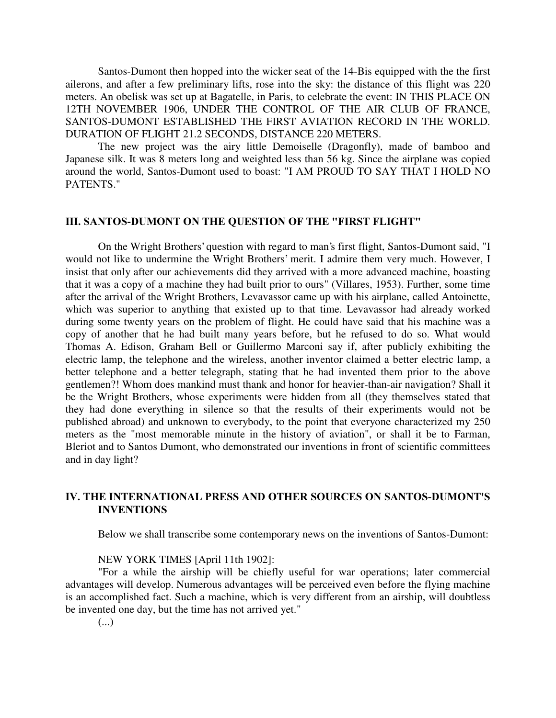Santos-Dumont then hopped into the wicker seat of the 14-Bis equipped with the the first ailerons, and after a few preliminary lifts, rose into the sky: the distance of this flight was 220 meters. An obelisk was set up at Bagatelle, in Paris, to celebrate the event: IN THIS PLACE ON 12TH NOVEMBER 1906, UNDER THE CONTROL OF THE AIR CLUB OF FRANCE, SANTOS-DUMONT ESTABLISHED THE FIRST AVIATION RECORD IN THE WORLD. DURATION OF FLIGHT 21.2 SECONDS, DISTANCE 220 METERS.

The new project was the airy little Demoiselle (Dragonfly), made of bamboo and Japanese silk. It was 8 meters long and weighted less than 56 kg. Since the airplane was copied around the world, Santos-Dumont used to boast: "I AM PROUD TO SAY THAT I HOLD NO PATENTS."

# III. SANTOS-DUMONT ON THE QUESTION OF THE "FIRST FLIGHT"

On the Wright Brothers'question with regard to man's first flight, Santos-Dumont said, "I would not like to undermine the Wright Brothers' merit. I admire them very much. However, I insist that only after our achievements did they arrived with a more advanced machine, boasting that it was a copy of a machine they had built prior to ours" (Villares, 1953). Further, some time after the arrival of the Wright Brothers, Levavassor came up with his airplane, called Antoinette, which was superior to anything that existed up to that time. Levavassor had already worked during some twenty years on the problem of flight. He could have said that his machine was a copy of another that he had built many years before, but he refused to do so. What would Thomas A. Edison, Graham Bell or Guillermo Marconi say if, after publicly exhibiting the electric lamp, the telephone and the wireless, another inventor claimed a better electric lamp, a better telephone and a better telegraph, stating that he had invented them prior to the above gentlemen?! Whom does mankind must thank and honor for heavier-than-air navigation? Shall it be the Wright Brothers, whose experiments were hidden from all (they themselves stated that they had done everything in silence so that the results of their experiments would not be published abroad) and unknown to everybody, to the point that everyone characterized my 250 meters as the "most memorable minute in the history of aviation", or shall it be to Farman, Bleriot and to Santos Dumont, who demonstrated our inventions in front of scientific committees and in day light?

# IV. THE INTERNATIONAL PRESS AND OTHER SOURCES ON SANTOS-DUMONT'S **INVENTIONS**

Below we shall transcribe some contemporary news on the inventions of Santos-Dumont:

# NEW YORK TIMES [April 11th 1902]:

"For a while the airship will be chiefly useful for war operations; later commercial advantages will develop. Numerous advantages will be perceived even before the flying machine is an accomplished fact. Such a machine, which is very different from an airship, will doubtless be invented one day, but the time has not arrived yet."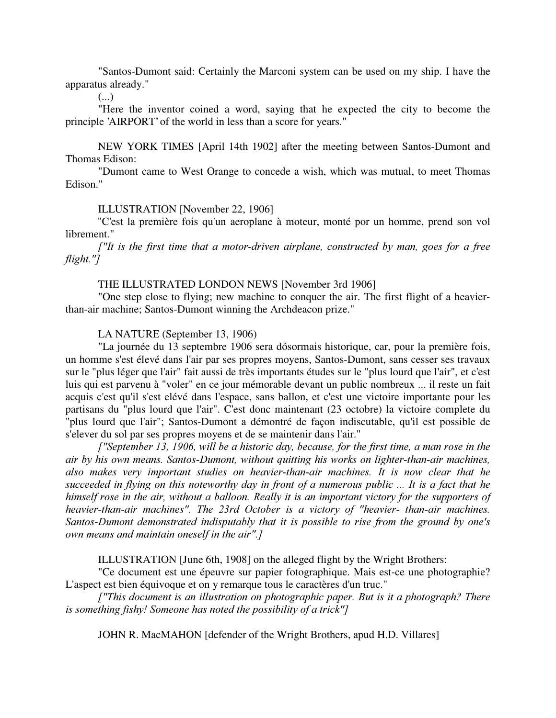"Santos-Dumont said: Certainly the Marconi system can be used on my ship. I have the apparatus already."

 $(\ldots)$ 

"Here the inventor coined a word, saying that he expected the city to become the principle 'AIRPORT'of the world in less than a score for years."

NEW YORK TIMES [April 14th 1902] after the meeting between Santos-Dumont and Thomas Edison:

"Dumont came to West Orange to concede a wish, which was mutual, to meet Thomas Edison."

ILLUSTRATION [November 22, 1906]

"C'est la première fois qu'un aeroplane à moteur, monté por un homme, prend son vol librement."

 $\int$ ''It is the first time that a motor-driven airplane, constructed by man, goes for a free  $flight."$ 

# THE ILLUSTRATED LONDON NEWS [November 3rd 1906]

"One step close to flying; new machine to conquer the air. The first flight of a heavierthan-air machine; Santos-Dumont winning the Archdeacon prize."

LA NATURE (September 13, 1906)

"La journée du 13 septembre 1906 sera dósormais historique, car, pour la première fois, un homme s'est élevé dans l'air par ses propres moyens, Santos-Dumont, sans cesser ses travaux sur le "plus léger que l'air" fait aussi de très importants études sur le "plus lourd que l'air", et c'est luis qui est parvenu à "voler" en ce jour mémorable devant un public nombreux ... il reste un fait acquis c'est qu'il s'est elévé dans l'espace, sans ballon, et c'est une victoire importante pour les partisans du "plus lourd que l'air". C'est donc maintenant (23 octobre) la victoire complete du "plus lourd que l'air"; Santos-Dumont a démontré de façon indiscutable, qu'il est possible de s'elever du sol par ses propres moyens et de se maintenir dans l'air."

["September 13, 1906, will be a historic day, because, for the first time, a man rose in the air by his own means. Santos-Dumont, without quitting his works on lighter-than-air machines, also makes very important studies on heavier-than-air machines. It is now clear that he succeeded in flying on this noteworthy day in front of a numerous public  $\ldots$  It is a fact that he himself rose in the air, without a balloon. Really it is an important victory for the supporters of heavier-than-air machines". The 23rd October is a victory of "heavier- than-air machines. Santos-Dumont demonstrated indisputably that it is possible to rise from the ground by one's own means and maintain oneself in the air".]

ILLUSTRATION [June 6th, 1908] on the alleged flight by the Wright Brothers:

"Ce document est une épeuvre sur papier fotographique. Mais est-ce une photographie? L'aspect est bien équivoque et on y remarque tous le caractères d'un truc."

 $\int$ "This document is an illustration on photographic paper. But is it a photograph? There is something fishy! Someone has noted the possibility of a trick"]

JOHN R. MacMAHON [defender of the Wright Brothers, apud H.D. Villares]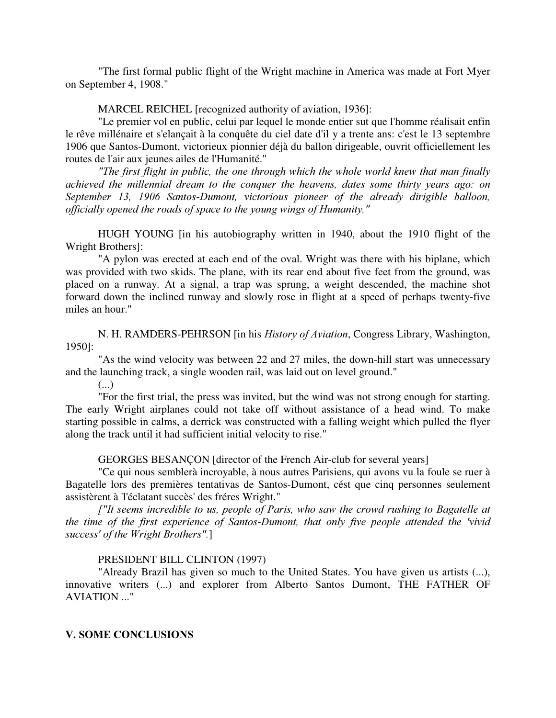"The first formal public flight of the Wright machine in America was made at Fort Myer on September 4, 1908."

MARCEL REICHEL [recognized authority of aviation, 1936]:

"Le premier vol en public, celui par lequel le monde entier sut que l'homme réalisait enfin le rêve millénaire et s'elançait à la conquête du ciel date d'il y a trente ans: c'est le 13 septembre 1906 que Santos-Dumont, victorieux pionnier déjà du ballon dirigeable, ouvrit officiellement les routes de l'air aux jeunes ailes de l'Humanité."

"The first flight in public, the one through which the whole world knew that man finally achieved the millennial dream to the conquer the heavens, dates some thirty years ago: on September 13, 1906 Santos-Dumont, victorious pioneer of the already dirigible balloon, officially opened the roads of space to the young wings of Humanity."

HUGH YOUNG [in his autobiography written in 1940, about the 1910 flight of the Wright Brothers]:

"A pylon was erected at each end of the oval. Wright was there with his biplane, which was provided with two skids. The plane, with its rear end about five feet from the ground, was placed on a runway. At a signal, a trap was sprung, a weight descended, the machine shot forward down the inclined runway and slowly rose in flight at a speed of perhaps twenty-five miles an hour."

N. H. RAMDERS-PEHRSON [in his *History of Aviation*, Congress Library, Washington, 1950]:

"As the wind velocity was between 22 and 27 miles, the down-hill start was unnecessary and the launching track, a single wooden rail, was laid out on level ground."

(...)

"For the first trial, the press was invited, but the wind was not strong enough for starting. The early Wright airplanes could not take off without assistance of a head wind. To make starting possible in calms, a derrick was constructed with a falling weight which pulled the flyer along the track until it had sufficient initial velocity to rise."

GEORGES BESANÇON [director of the French Air-club for several years]

"Ce qui nous semblerà incroyable, à nous autres Parisiens, qui avons vu la foule se ruer à Bagatelle lors des premières tentativas de Santos-Dumont, cést que cinq personnes seulement assistèrent à 'l'éclatant succès'des fréres Wright."

 $\int$ ''It seems incredible to us, people of Paris, who saw the crowd rushing to Bagatelle at the time of the first experience of Santos-Dumont, that only five people attended the 'vivid success' of the Wright Brothers".]

# PRESIDENT BILL CLINTON (1997)

"Already Brazil has given so much to the United States. You have given us artists (...), innovative writers (...) and explorer from Alberto Santos Dumont, THE FATHER OF AVIATION ..."

#### **V. SOME CONCLUSIONS**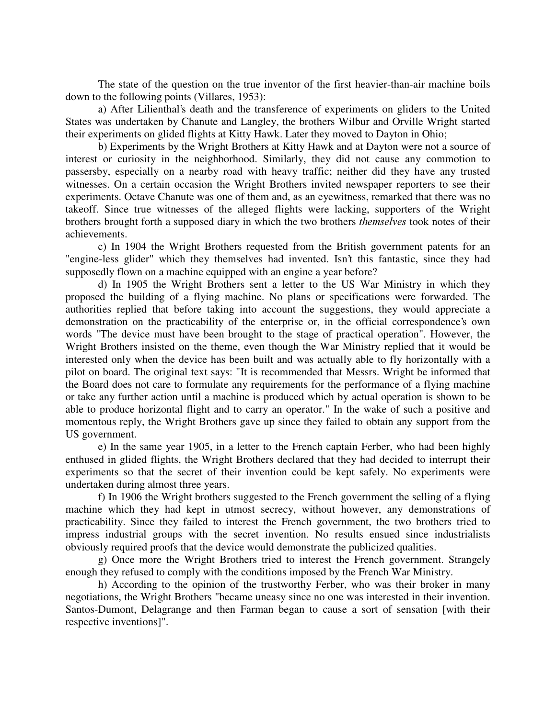The state of the question on the true inventor of the first heavier-than-air machine boils down to the following points (Villares, 1953):

a) After Lilienthal's death and the transference of experiments on gliders to the United States was undertaken by Chanute and Langley, the brothers Wilbur and Orville Wright started their experiments on glided flights at Kitty Hawk. Later they moved to Dayton in Ohio;

b) Experiments by the Wright Brothers at Kitty Hawk and at Dayton were not a source of interest or curiosity in the neighborhood. Similarly, they did not cause any commotion to passersby, especially on a nearby road with heavy traffic; neither did they have any trusted witnesses. On a certain occasion the Wright Brothers invited newspaper reporters to see their experiments. Octave Chanute was one of them and, as an eyewitness, remarked that there was no takeoff. Since true witnesses of the alleged flights were lacking, supporters of the Wright brothers brought forth a supposed diary in which the two brothers *themselves* took notes of their achievements.

c) In 1904 the Wright Brothers requested from the British government patents for an "engine-less glider" which they themselves had invented. Isn't this fantastic, since they had supposedly flown on a machine equipped with an engine a year before?

d) In 1905 the Wright Brothers sent a letter to the US War Ministry in which they proposed the building of a flying machine. No plans or specifications were forwarded. The authorities replied that before taking into account the suggestions, they would appreciate a demonstration on the practicability of the enterprise or, in the official correspondence's own words "The device must have been brought to the stage of practical operation". However, the Wright Brothers insisted on the theme, even though the War Ministry replied that it would be interested only when the device has been built and was actually able to fly horizontally with a pilot on board. The original text says: "It is recommended that Messrs. Wright be informed that the Board does not care to formulate any requirements for the performance of a flying machine or take any further action until a machine is produced which by actual operation is shown to be able to produce horizontal flight and to carry an operator." In the wake of such a positive and momentous reply, the Wright Brothers gave up since they failed to obtain any support from the US government.

e) In the same year 1905, in a letter to the French captain Ferber, who had been highly enthused in glided flights, the Wright Brothers declared that they had decided to interrupt their experiments so that the secret of their invention could be kept safely. No experiments were undertaken during almost three years.

f) In 1906 the Wright brothers suggested to the French government the selling of a flying machine which they had kept in utmost secrecy, without however, any demonstrations of practicability. Since they failed to interest the French government, the two brothers tried to impress industrial groups with the secret invention. No results ensued since industrialists obviously required proofs that the device would demonstrate the publicized qualities.

g) Once more the Wright Brothers tried to interest the French government. Strangely enough they refused to comply with the conditions imposed by the French War Ministry.

h) According to the opinion of the trustworthy Ferber, who was their broker in many negotiations, the Wright Brothers "became uneasy since no one was interested in their invention. Santos-Dumont, Delagrange and then Farman began to cause a sort of sensation [with their respective inventions]".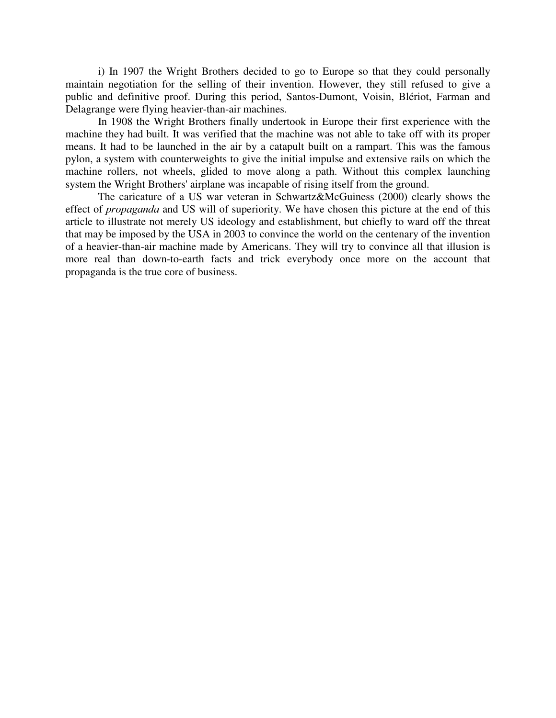i) In 1907 the Wright Brothers decided to go to Europe so that they could personally maintain negotiation for the selling of their invention. However, they still refused to give a public and definitive proof. During this period, Santos-Dumont, Voisin, Blériot, Farman and Delagrange were flying heavier-than-air machines.

In 1908 the Wright Brothers finally undertook in Europe their first experience with the machine they had built. It was verified that the machine was not able to take off with its proper means. It had to be launched in the air by a catapult built on a rampart. This was the famous pylon, a system with counterweights to give the initial impulse and extensive rails on which the machine rollers, not wheels, glided to move along a path. Without this complex launching system the Wright Brothers'airplane was incapable of rising itself from the ground.

The caricature of a US war veteran in Schwartz&McGuiness (2000) clearly shows the effect of *propaganda* and US will of superiority. We have chosen this picture at the end of this article to illustrate not merely US ideology and establishment, but chiefly to ward off the threat that may be imposed by the USA in 2003 to convince the world on the centenary of the invention of a heavier-than-air machine made by Americans. They will try to convince all that illusion is more real than down-to-earth facts and trick everybody once more on the account that propaganda is the true core of business.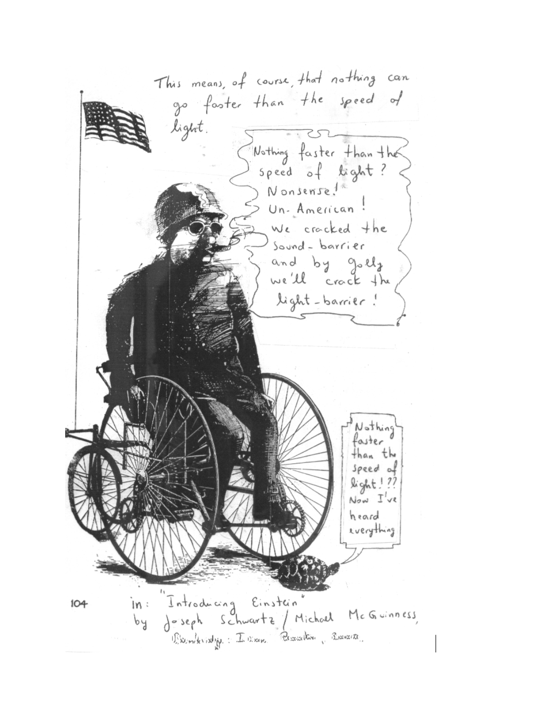This means, of course, that nothing can go faster than the speed of light. Nothing faster than the speed of light? Nonsense! Un-American! We crocked the Sound-barrier and by golls we'll crack the light-barrier! Nothing aster than the speed of light! ??  $Now \tJ've$ heard rverything Introducing Einstein"<br>Jeseph Schwartz / Michael McGuinness,  $in:$  $104$  $b<sub>d</sub>$ Examberating : I ame Research